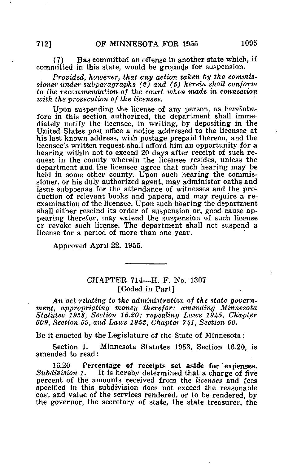## (7) Has committed an offense in another state which, if committed in this state, would be grounds for suspension.

Provided, however, that any action taken by the commissioner under subparagraphs (2) and (5) herein shall conform to the recommendation of the court when made in connection with the prosecution of the'licensee.

Upon suspending the license of any person, as hereinbefore in this section authorized, the department shall immediately notify the licensee, in writing, by depositing in the United States post office a notice addressed to the licensee at his last known address, with postage prepaid thereon, and the licensee's written request shall afford him an opportunity for a hearing within not to exceed 20 days after receipt of such request in the county wherein the licensee resides, unless the department and the licensee agree that such hearing may be held in some other county. Upon such hearing the commissioner, or his duly authorized agent, may administer oaths and issue subpoenas for the attendance of witnesses and the production of relevant books and papers, and may require a reexamination of the licensee. Upon such hearing the department shall either rescind its order of suspension or, good cause appearing therefor, may extend the suspension of such license or revoke such license. The department shall not suspend a license for a period of more than one year.

Approved April 22, 1955.

## CHAPTER 714—H. F. No. 1307 [Coded in Part]

An act relating to the administration of the state government, appropriating money therefor; amending Minnesota Statutes 1953, Section 16.20; repealing Laws 1945, Chapter 609, Section 59, and Laws 1953, Chapter  $741$ , Section 60.

Be it enacted by the Legislature of the State of Minnesota:

Section 1. Minnesota Statutes 1953, Section 16.20, is amended to read:

16.20 Percentage of receipts set aside for expenses.<br>Subdivision 1. It is hereby determined that a charge of five It is hereby determined that a charge of five percent of the amounts received from the licenses and fees specified in this subdivision does not exceed the reasonable cost and value of the services rendered, or to be rendered, by the governor, the secretary of state, the state treasurer, the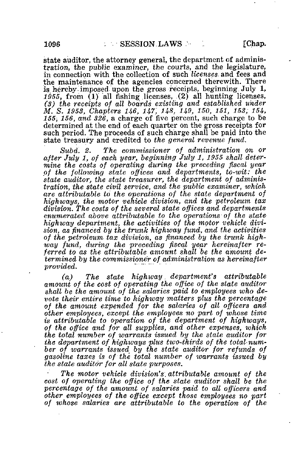state auditor, the attorney general, the department of administration, the public examiner, the courts, and the legislature, in connection with the collection of such licenses and fees and the maintenance of the agencies concerned therewith. There is hereby imposed upon the gross receipts, beginning. July 1, 1955, from (1) all fishing licenses, (2) all hunting licenses, (3) the receipts of all boards existing and established under M. S. 1953, Chapters 146, 147, 148, 149, 150, 151, 153, 154, 155, 156, and 326, a charge of five percent, such charge to be determined at the end of each quarter on the gross receipts for such period. The proceeds of such charge shall be paid into the state treasury and credited to the general revenue fund.

Subd. 2. The commissioner of administration on or after July 1, of each year, beginning July 1, 1955 shall determine the costs of operating during the preceding fiscal year of the following state offices and departments, to-wit: the state auditor, the state treasurer, the department of administration, the state civil service, and the public examiner, which are attributable to the operations of the state department of highways, the motor vehicle division, and the petroleum tax division. The costs of the several state offices and departments enumerated above attributable to the operations of the state highway department, the activities of the motor vehicle division, as financed by the trunk highway fund, and the activities of the petroleum tax division, as financed by the trunk highway fund, during the preceding fiscal year hereinafter referred to as the attributable amount shall be the amount determined by the commissioner of administration as hereinafter provided.

(a) The state highway. department's attributable amount of the cost of operating the office of the state auditor shall be the amount of the salaries paid to employees who devote their entire time to highway matters plus the percentage of the amount expended for the salaries of all officers and other employees, except the employees no part of whose time is attributable to operation of the department of highways, of the office and for all supplies, and other expenses, which the total number of warrants issued by the state auditor for the department of highways plus two-thirds of the total-number of warrants issued by the state auditor for refunds of gasoline taxes is of the total number of warrants issued by the state auditor for all state purposes.

The motor vehicle division's, attributable amount of the cost of operating the office of the state auditor shall be the percentage of the amount of salaries paid to all officers and other employees of the office except those employees no part of whose salaries are attributable to the operation of the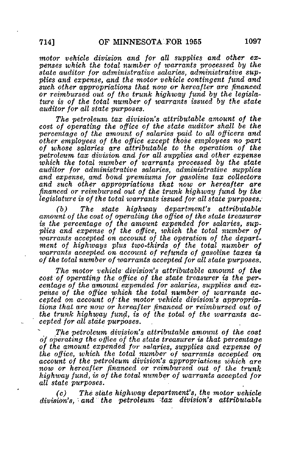motor vehicle division and for all supplies and other expenses which the total number of warrants processed by the state auditor for administrative salaries, administrative supplies and expense, and the motor vehicle contingent fund and such other appropriations that now or hereafter are financed or reimbursed out of the trunk highway fund by the legislature is of the total number of warrants issued by the state auditor for all state purposes.

The petroleum tax division's attributable amount of the cost of operating the office of the state auditor shall be the percentage of the amount of salaries paid to all officers and other employees of the office except those employees no part of whose salaries are attributable to the operation of the petroleum tax division and for all supplies and other expense which the total number of warrants processed by the state auditor for administrative salaries, administrative supplies and expense, and bond premiums for gasoline tax collectors and such other appropriations that now or hereafter are financed or reimbursed out of the trunk highway fund by the legislature is of the total warrants issued for all state purposes.

(b) The state highway department's attributable amount of the cost of operating the office of the state treasurer is the percentage of the amount expended for salaries, supplies and expense of the office, which the total number of warrants accepted on account of the operation of the department of, highways plus two-thirds of the total number of warrants accepted on account of refunds of gasoline taxes is of the total number of warrants accepted for all state purposes.

The motor vehicle division's attributable amount of the cost of operating the office of the state treasurer is the percentage of the amount expended for salaries, supplies and expense of the office which the total number of warrants accepted on account of the motor vehicle division's appropriations that are now or hereafter financed or reimbursed out of the trunk highway fund, is of the total of the warrants accepted for all state purposes.

The petroleum division's attributable amount of the cost of operating the office of the state treasurer is that percentage of the amount expended for salaries, supplies and expense of the office, which the total number of warrants accepted on account of the petroleum division's appropriations which are now or hereafter financed or reimbursed out of the trunk highway fund, is of the total number of warrants accepted for all state purposes.

(c) The state highway department's, the motor vehicle division's, and the petroleum tax division's attributable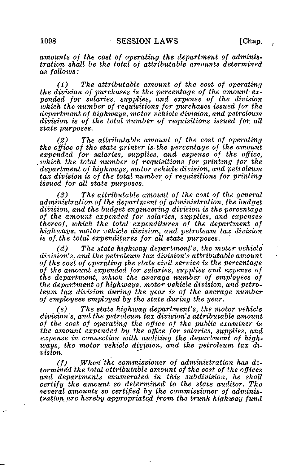amounts of the cost of operating the department of administration shall be the total of attributable amounts determined as follows:

(1) The attributable amount of the cost of operating the division of purchases is the percentage of the amount expended for salaries, supplies, and expense of the division which the number of requisitions for purchases issued for the department of highways, motor vehicle division, and petroleum division is of the total number of requisitions issued for all state purposes.

(2) The attributable amount of the cost of operating the office of the state printer is. the percentage of the amount expended for salaries, supplies, and expense of the office, which the total number of requisitions for printing for the department of highways, motor vehicle division, and petroleum tax division is of the total number of requisitions for printing issued for all state purposes.

(3) The attributable amount of the cost of the general administration of the department of administration, the budget division, and the budget engineering division is the percentage of the amount expended for salaries, supplies, and expenses thereof, which the total expenditures of the department of highways, motor vehicle division, and petroleum tax division is of, the total expenditures for all state purposes.

(d) The state highway department's, the motor vehicle division's, and the petroleum tax division's attributable amount of the cost of operating the state civil service is the percentage of the amount expended for salaries, supplies and expense of the department, which the average number of employees of the department of highways, motor vehicle division, and petroleum tax division during the year is of the average number of employees employed by the state during the year.

(e) The state highivay department's, the motor vehicle division's, and the petroleum tax division's attributable amount of the cost of operating the office of the public examiner is the amount expended by the office for salaries, supplies, and expense in connection with auditing the department of highways, the motor vehicle division, and the petroleum tax diways, *moment* sometic and

(f) When'the commissioner of administration has determined the total attributable amount of the cost of the offices and departments enumerated in this subdivision, he shall certify the amount so determined' to the state auditor. The several amounts so certified by the commissioner of administration are hereby appropriated from the trunk highway fund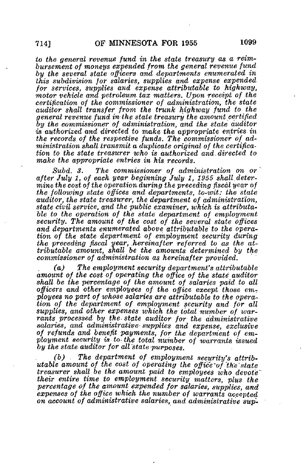to the general revenue fund in the state treasury as a reimbursement of moneys expended from the general revenue fund by the several state officers and departments enumerated in this subdivision for salaries, supplies and expense expended for services, supplies and expense attributable to highway, motor vehicle and petroleum tax matters. Upon receipt of the certification of the commissioner of administration, the state auditor shall transfer from the trunk highway fund to the general revenue fund in the state treasury the amount certified by the commissioner of administration, and the state auditor is authorized and directed to make the appropriate entries in the records of the respective funds. The commissioner of  $ad$ ministration shall transmit a duplicate original of the certification to the state treasurer who is authorized and.directed to make the appropriate entries in his records.

Subd. 3. The commissioner of administration on or after July 1, of each year beginning July 1, 1955 shall determine the cost of the operation during the preceding fiscal year of the following state offices and departments, to-wit: the state auditor, the state treasurer, the department of administration, state civil service, and the public examiner, which is attributable to the operation of the state department of employment security. The amount of the cost of the several state offices and departments enumerated above attributable to the operation of the state department of employment security during the preceding fiscal year, hereinafter referred to as the  $at$ tributable amount, shall be the amounts determined by the commissioner of administration as hereinafter provided.

(a) The employment security department's attributable amount of the cost of operating the office of the state auditor shall be the percentage of the amount of salaries paid to all officers and other employees of the office except those employees no part of whose salaries are attributable to the operation of the department of employment security and for all supplies, and other expenses which the total number of warrants processed by the state auditor for the administrative salaries, and administrative- supplies and expense, exclusive of refunds and benefit payments, for the department of employment security is to the total number of warrants issued by the state auditor for all'state purposes.

(b) The department of employment security's attributable amount of the cost of operating the office of the state treasurer shall be the amount paid to employees who devote their entire time to employment security matters, plus the percentage of the amount expended for salaries, supplies, and expenses of the office which the number of warrants accepted on account of administrative salaries, and administrative sup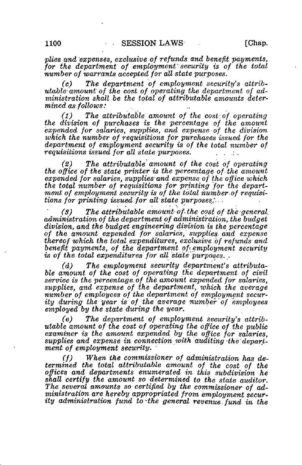plies and expenses, exclusive of refunds and benefit payments, for the department of employment security is of the total number of warrants accepted for all state purposes.

(c) The department of employment security's attributable amount of the cost of operating the department of administration shall be the total of attributable amounts determined as follows:

(1) The attributable amount of the cost of operating the division of purchases is the percentage of the amount expended for salaries, supplies, and expense-of the division which the number of requisitions for purchases issued for the department of employment security is of the total number of requisitions issued for all state purposes.

(2) The attributable amount of the cost of operating the office of the state printer is the percentage of the amount expended for salaries, supplies and expense of the office which the total number of requisitions for printing 'for the department of employment security is of the total number of requisitions for printing issued for all state purposes:.

 $(s)$  The attributable amount of the cost of the general, administration of the department of administration, the budget division, and the budget engineering division is the percentage of the amount expended for salaries, supplies and expense thereof which the total expenditures, exclusive of refunds and benefit payments, of the department of employment security is of the total expenditures for all state purposes.

(d) The employment security department's attributable amount of the cost of operating the department of civil service is the percentage of the amount expended for salaries, supplies, and expense of the department, which the average number of employees of the department of employment security during the year is of the average number of employees employed by the state during the year.

(e) The department of employment security's attributable amount of the cost of operating the office of the public examiner is the amount expended by the office for salaries, supplies and expense in connection with auditing the department of employment security.

(f) When the commissioner of administration has determined the total attributable amount of the cost of the offices and departments enumerated in this subdivision he shall certify the amount so determined to the state auditor. The several amounts so certified by the commissioner of administration are hereby appropriated from employment security administration fund to the general revenue fund in the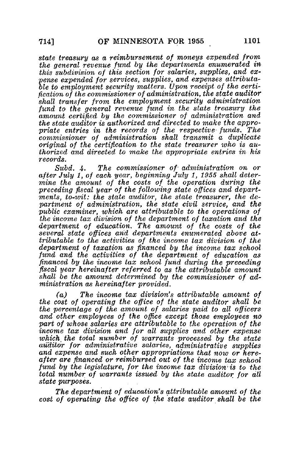state treasury as a reimbursement of moneys expended from the general revenue fund by the departments enumerated in this subdivision of this section for salaries, supplies, and expense expended for services, supplies, and expenses attributable to employment security matters. Upon receipt of the certification of the commissioner of administration, the state auditor shall transfer from the employment security administration fund to the general revenue fund in the state treasury the amount certified by the commissioner of administration and the state auditor is authorized and directed to make the appropriate entries in the records of the respective funds. The commissioner of administration shall transmit a duplicate original of the certification to the state treasurer who is authorized and directed to make the appropriate entries in his records.

Subd. 4. The commissioner of administration on or after July 1, of each year, beginning July 1, 1955 shall determine the amount of the costs of the operation during the preceding fiscal year of the following state offices and departments, to-wit: the state auditor, the state treasurer, the department of administration, the state civil service, and the public examiner, which are attributable to the operations of the income tax division of the department of taxation and the department of education. The amount of the costs of the several state offices and departments enumerated above attributable to the activities of the income tax division of the department of taxation as financed by the income tax school fund and the activities of the department of education as financed by the income tax school fund during the preceding fiscal year hereinafter referred to as the attributable amount shall be the amount determined by the commissioner of administration as hereinafter provided.

(a) The income tax division's attributable amount of the cost of operating the office of the state auditor shall be the percentage of the amount of salaries paid to all officers and other employees of the office except those employees no part of whose salaries are attributable to the operation of the income tax division and for all supplies and other expense which the total number of warrants processed by the state auditor for administrative salaries, administrative supplies and expense and such other appropriations that now or hereafter are financed or reimbursed out of the income tax school fund by the legislature, for the income tax division-is to the total number of warrants issued by the state auditor for all state purposes.

The department of education's attributable amount of the cost of operating the office of the state auditor shall be the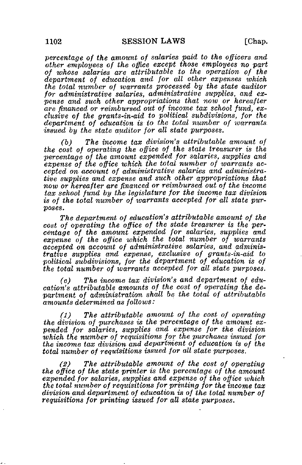percentage of the amount of salaries paid to the officers and other employees of the office except those employees no part of whose salaries are attributable to the operation of the department of education and for all other expenses which the total number of warrants processed by the state auditor for administrative salaries, administrative supplies, and expense and such other appropriations that now or hereafter are financed or reimbursed out of income tax school fund, exclusive of the grants-in-aid to political subdivisions, for the department of education is to the total number of warrants issued by the state auditor for all state purposes.

(b) The income tax division's attributable amount of the cost of operating the office of the state treasurer is the percentage of the amount expended for salaries, supplies and expense of the office which the total number of warrants accepted on account of administrative salaries and administrative supplies and expense and such other appropriations that now or hereafter are financed or reimbursed out of the income tax school fund by the legislature for the income tax division is of the total number of warrants accepted for all state purpases.

The department of education's attributable amount of the cost of operating the office of the state treasurer is the percentage of the amount expended for salaries, supplies and expense of the office which the total number of warrants accepted on account of administrative salaries, and administrative supplies and expense, exclusive of grants-in-aid to political subdivisions, for the department of education is of the total number of warrants accepted for all state purposes.

(c) The income tax division's and department of education's attributable amounts of the cost of operating the department of administration shall be the total of attributable amounts determined as follows:

(1) The attributable amount of the cost of operating the division of purchases is the percentage of the amount expended for salaries, supplies and expense for the division which the number of requisitions for the purchases issued for the income tax division and department of education is of the total number of requisitions issued for all state purposes.

(2) The attributable amount of the cost of operating the office of the state printer is the percentage of the amount expended for salaries, supplies and expense of the office which the total number of requisitions for printing for the income tax division and department of education is of the total number of requisitions for printing issued for all state purposes.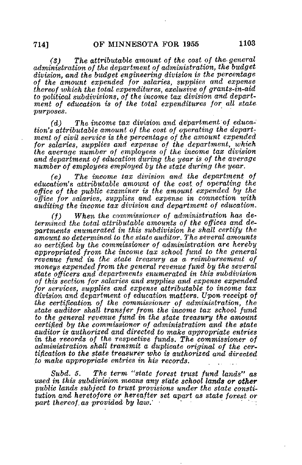(S) The attributable amount of the cost of the general administration of the department of administration, the budget division, and the budget engineering division is the percentage of the amount expended for salaries, supplies and expense thereof which the total expenditures, exclusive of grants-in-aid to political subdivisions, of the income tax division and department of education is of the total expenditures for all state purposes.

(d) The income tax division and department of. education's attributable amount of the cost of operating the department of civil service is the percentage of the amount expended for salaries, supplies and expense of the department, which the average number of employees of the income tax division and department of education during the year is of the average number of employees employed by the state during the year.

(e) The income tax division and the department of education's attributable amount of the cost, of operating the office of the public examiner is the amount expended by the office for salaries, supplies and expense in connection with auditing the income tax division and department of education.

(f) When the commissioner of administration has determined the total attributable amounts of the offices and departments enumerated in this subdivision he shall certify the amount so determined to the state auditor. The several amounts so certified by the commissioner of administration are hereby appropriated from, the income tax school fund to the general revenue fund in the state treasury as a reimbursement of moneys expended from the general revenue fund by the several state officers and departments enumerated in this subdivision of this section for salaries and supplies and expense expended for services, supplies and expense attributable to income tax division and department of education matters. Upon- receipt of the certification of the commissioner of administration, the state auditor shall transfer from the income tax school fund to the general revenue fund in the state treasury the amount certified by the commissioner of administration and the state auditor is authorized and directed to make appropriate entries in the records of the respective funds. The commissioner of administration shall transmit a duplicate original of the certification to the state treasurer who is authorized and directed to make appropriate entries in his records.

Subd. 5. The term "state forest trust fund lands'' as used in this subdivision means any state school lands or other public lands subject to trust provisions under the state constitution and heretofore or hereafter set apart as state forest or part thereof as provided by law.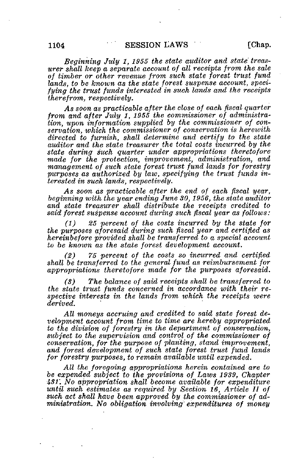Beginning July 1, 1955 the state auditor and state treasurer shall keep a separate account of all receipts from the sale of timber or other revenue from such state forest trust fund lands, to be known as the state forest suspense account, specifying the trust funds interested in such lands and the receipts therefrom, respectively.

As soon as practicable after the close of each fiscal quarter from and after July 1, 1955 the commissioner of administration, upon information supplied by the commissioner of conservation, which the commissioner of conservation is herewith directed to furnish, shall determine and certify to the state auditor and the state treasurer the total costs incurred by the state during such quarter under appropriations theretofore made for the protection, improvement, administration, and management of such state forest trust fund lands for forestry purposes as authorized by law, specifying the trust funds interested in such lands, respectively.

As soon as practicable after the end of each fiscal year, beginning with the year ending June 30,1956, the state auditor and state treasurer shall distribute the receipts credited to said forest suspense account during such fiscal year as follows:

(1) 25 percent of the costs incurred by the state for the purposes aforesaid during such fiscal year and certified as hereinbefore provided shall be transferred to a special account to be known as the state forest development account.

(2) 75 percent of the costs so incurred and certified shall be transferred to the general fund as reimbursement for appropriations theretofore made for the purposes aforesaid.

(S) The balance of said receipts shall be transferred to the state trust funds concerned in accordance with their respective interests in the lands from which the receipts were derived.

All moneys accruing and credited to said state forest development account from time to time are hereby appropriated to the division of forestry in the department of conservation, subject to the supervision and control of the commissioner of  $conservation, for the purpose of *planting*, stand *improvement*.$ and forest development of such state forest trust fund lands for forestry purposes, to remain available until expended.

All the foregoing appropriations herein contained are to be expended subject to the provisions of Laws 1939, Chapter 431'. No appropriation shall become available for expenditure until such estimates as required by Section 16, Article II of such act shall have been approved by the commissioner of administration. No obligation involving' expenditures of money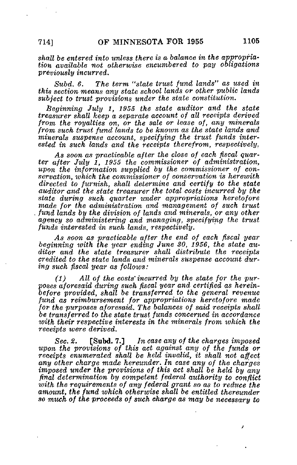shall be entered into unless there is a balance in the appropriation available not otherwise encumbered to pay obligations previously incurred.

Subd. 6. The term "state trust fund lands" as used in this section means any state school lands or other public lands subject to trust provisions under the state constitution.

Beginning July 1, 1955 the state auditor and the state treasurer shall keep a separate account of all receipts derived from the royalties on, or the sale or lease of, any minerals from such trust fund lands to be known as the state lands and minerals suspense account, specifying the trust funds interested in such lands and the receipts therefrom, respectively.

As soon as practicable after the close of each fiscal quarter after July 1, 1955 the commissioner of administration, upon the information supplied by the commissioner of conservation, which the commissioner of conservation is herewith directed to furnish, shall determine and certify to the state auditor and the state treasurer the total costs incurred by the state during such quarter under appropriations heretofore made for the administration and management of such trust fund lands by the division of lands and minerals, or any other agency so administering and managing, specifying the trust funds interested in such lands, respectively.

As soon as practicable after the end of each fiscal year beginning with the year ending June 30, 1956, the state auditor and the state treasurer shall distribute the receipts credited to the state lands and minerals suspense account during such fiscal year as follows:

(1) All of the costs'incurred by the state for the purposes aforesaid during such fiscal year and certified as hereinbefore provided, shall be transferred to the general revenue fund as reimbursement for appropriations heretofore made for the purposes aforesaid. The balances of said receipts shall be transferred to the state trust funds concerned in accordance with their respective interests in the minerals from which the receipts were derived.

Sec. 2. [Subd. 7.] In case any of the charges imposed upon the provisions of this act against any of the funds or receipts enumerated shall be held invalid, it shall not affect any other charge made hereunder. In case any of the charges imposed under the provisions of this act shall be held by any final determination by competent federal authority to conflict with the requirements of any federal grant so as to reduce the amount, the fund which otherwise shall be entitled thereunder so much of the proceeds of such charge as may be necessary to